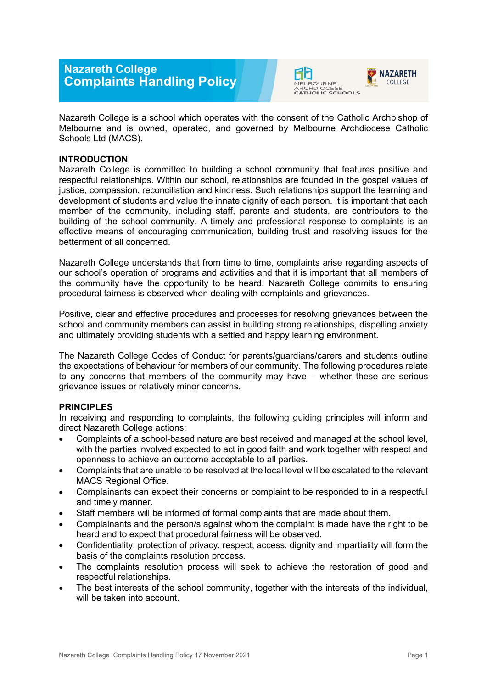## **Nazareth College Complaints Handling Policy**





Nazareth College is a school which operates with the consent of the Catholic Archbishop of Melbourne and is owned, operated, and governed by Melbourne Archdiocese Catholic Schools Ltd (MACS).

## **INTRODUCTION**

Nazareth College is committed to building a school community that features positive and respectful relationships. Within our school, relationships are founded in the gospel values of justice, compassion, reconciliation and kindness. Such relationships support the learning and development of students and value the innate dignity of each person. It is important that each member of the community, including staff, parents and students, are contributors to the building of the school community. A timely and professional response to complaints is an effective means of encouraging communication, building trust and resolving issues for the betterment of all concerned.

Nazareth College understands that from time to time, complaints arise regarding aspects of our school's operation of programs and activities and that it is important that all members of the community have the opportunity to be heard. Nazareth College commits to ensuring procedural fairness is observed when dealing with complaints and grievances.

Positive, clear and effective procedures and processes for resolving grievances between the school and community members can assist in building strong relationships, dispelling anxiety and ultimately providing students with a settled and happy learning environment.

The Nazareth College Codes of Conduct for parents/guardians/carers and students outline the expectations of behaviour for members of our community. The following procedures relate to any concerns that members of the community may have – whether these are serious grievance issues or relatively minor concerns.

## **PRINCIPLES**

In receiving and responding to complaints, the following guiding principles will inform and direct Nazareth College actions:

- Complaints of a school-based nature are best received and managed at the school level, with the parties involved expected to act in good faith and work together with respect and openness to achieve an outcome acceptable to all parties.
- Complaints that are unable to be resolved at the local level will be escalated to the relevant MACS Regional Office.
- Complainants can expect their concerns or complaint to be responded to in a respectful and timely manner.
- Staff members will be informed of formal complaints that are made about them.
- Complainants and the person/s against whom the complaint is made have the right to be heard and to expect that procedural fairness will be observed.
- Confidentiality, protection of privacy, respect, access, dignity and impartiality will form the basis of the complaints resolution process.
- The complaints resolution process will seek to achieve the restoration of good and respectful relationships.
- The best interests of the school community, together with the interests of the individual, will be taken into account.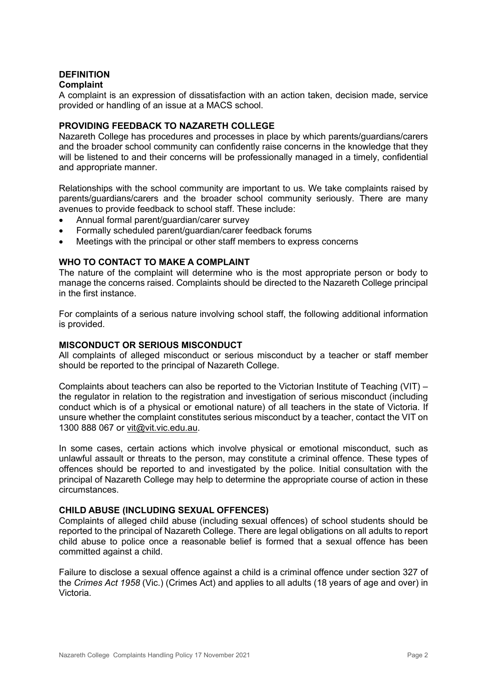# **DEFINITION**

## **Complaint**

A complaint is an expression of dissatisfaction with an action taken, decision made, service provided or handling of an issue at a MACS school.

## **PROVIDING FEEDBACK TO NAZARETH COLLEGE**

Nazareth College has procedures and processes in place by which parents/guardians/carers and the broader school community can confidently raise concerns in the knowledge that they will be listened to and their concerns will be professionally managed in a timely, confidential and appropriate manner.

Relationships with the school community are important to us. We take complaints raised by parents/guardians/carers and the broader school community seriously. There are many avenues to provide feedback to school staff. These include:

- Annual formal parent/guardian/carer survey
- Formally scheduled parent/guardian/carer feedback forums
- Meetings with the principal or other staff members to express concerns

## **WHO TO CONTACT TO MAKE A COMPLAINT**

The nature of the complaint will determine who is the most appropriate person or body to manage the concerns raised. Complaints should be directed to the Nazareth College principal in the first instance.

For complaints of a serious nature involving school staff, the following additional information is provided.

## **MISCONDUCT OR SERIOUS MISCONDUCT**

All complaints of alleged misconduct or serious misconduct by a teacher or staff member should be reported to the principal of Nazareth College.

Complaints about teachers can also be reported to the Victorian Institute of Teaching (VIT) – the regulator in relation to the registration and investigation of serious misconduct (including conduct which is of a physical or emotional nature) of all teachers in the state of Victoria. If unsure whether the complaint constitutes serious misconduct by a teacher, contact the VIT on 1300 888 067 or [vit@vit.vic.edu.au.](mailto:vit@vit.vic.edu.au)

In some cases, certain actions which involve physical or emotional misconduct, such as unlawful assault or threats to the person, may constitute a criminal offence. These types of offences should be reported to and investigated by the police. Initial consultation with the principal of Nazareth College may help to determine the appropriate course of action in these circumstances.

#### **CHILD ABUSE (INCLUDING SEXUAL OFFENCES)**

Complaints of alleged child abuse (including sexual offences) of school students should be reported to the principal of Nazareth College. There are legal obligations on all adults to report child abuse to police once a reasonable belief is formed that a sexual offence has been committed against a child.

Failure to disclose a sexual offence against a child is a criminal offence under section 327 of the *Crimes Act 1958* (Vic.) (Crimes Act) and applies to all adults (18 years of age and over) in Victoria.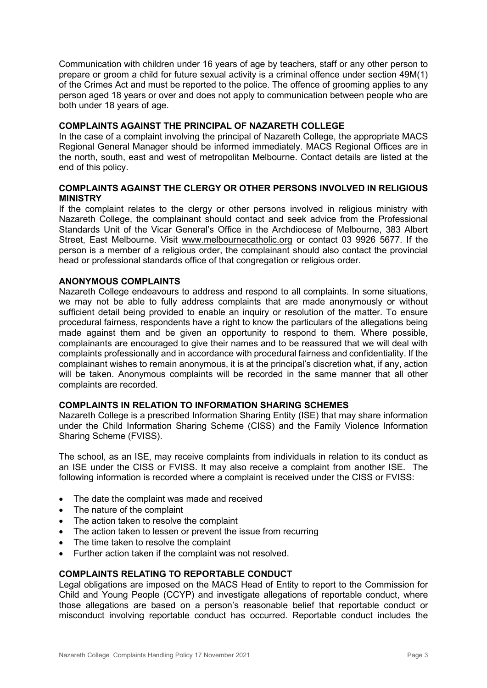Communication with children under 16 years of age by teachers, staff or any other person to prepare or groom a child for future sexual activity is a criminal offence under section 49M(1) of the Crimes Act and must be reported to the police. The offence of grooming applies to any person aged 18 years or over and does not apply to communication between people who are both under 18 years of age.

## **COMPLAINTS AGAINST THE PRINCIPAL OF NAZARETH COLLEGE**

In the case of a complaint involving the principal of Nazareth College, the appropriate MACS Regional General Manager should be informed immediately. MACS Regional Offices are in the north, south, east and west of metropolitan Melbourne. Contact details are listed at the end of this policy.

## **COMPLAINTS AGAINST THE CLERGY OR OTHER PERSONS INVOLVED IN RELIGIOUS MINISTRY**

If the complaint relates to the clergy or other persons involved in religious ministry with Nazareth College, the complainant should contact and seek advice from the Professional Standards Unit of the Vicar General's Office in the Archdiocese of Melbourne, 383 Albert Street, East Melbourne. Visit [www.melbournecatholic.org](http://www.melbournecatholic.org/) or contact 03 9926 5677. If the person is a member of a religious order, the complainant should also contact the provincial head or professional standards office of that congregation or religious order.

#### **ANONYMOUS COMPLAINTS**

Nazareth College endeavours to address and respond to all complaints. In some situations, we may not be able to fully address complaints that are made anonymously or without sufficient detail being provided to enable an inquiry or resolution of the matter. To ensure procedural fairness, respondents have a right to know the particulars of the allegations being made against them and be given an opportunity to respond to them. Where possible, complainants are encouraged to give their names and to be reassured that we will deal with complaints professionally and in accordance with procedural fairness and confidentiality. If the complainant wishes to remain anonymous, it is at the principal's discretion what, if any, action will be taken. Anonymous complaints will be recorded in the same manner that all other complaints are recorded.

#### **COMPLAINTS IN RELATION TO INFORMATION SHARING SCHEMES**

Nazareth College is a prescribed Information Sharing Entity (ISE) that may share information under the Child Information Sharing Scheme (CISS) and the Family Violence Information Sharing Scheme (FVISS).

The school, as an ISE, may receive complaints from individuals in relation to its conduct as an ISE under the CISS or FVISS. It may also receive a complaint from another ISE. The following information is recorded where a complaint is received under the CISS or FVISS:

- The date the complaint was made and received
- The nature of the complaint
- The action taken to resolve the complaint
- The action taken to lessen or prevent the issue from recurring
- The time taken to resolve the complaint
- Further action taken if the complaint was not resolved.

#### **COMPLAINTS RELATING TO REPORTABLE CONDUCT**

Legal obligations are imposed on the MACS Head of Entity to report to the Commission for Child and Young People (CCYP) and investigate allegations of reportable conduct, where those allegations are based on a person's reasonable belief that reportable conduct or misconduct involving reportable conduct has occurred. Reportable conduct includes the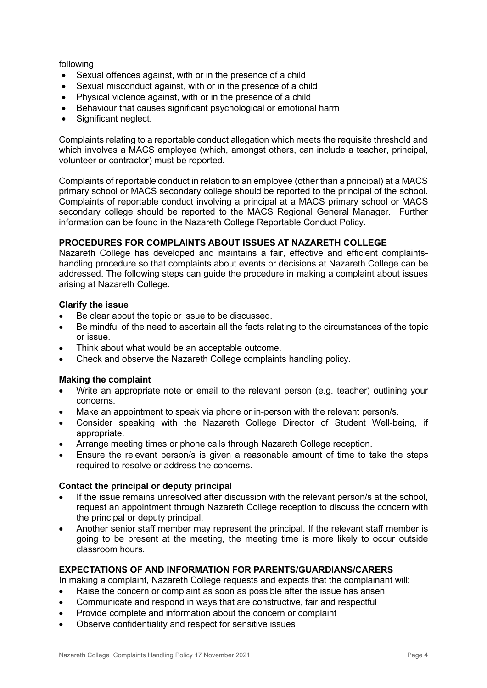following:

- Sexual offences against, with or in the presence of a child
- Sexual misconduct against, with or in the presence of a child
- Physical violence against, with or in the presence of a child
- Behaviour that causes significant psychological or emotional harm
- Significant neglect.

Complaints relating to a reportable conduct allegation which meets the requisite threshold and which involves a MACS employee (which, amongst others, can include a teacher, principal, volunteer or contractor) must be reported.

Complaints of reportable conduct in relation to an employee (other than a principal) at a MACS primary school or MACS secondary college should be reported to the principal of the school. Complaints of reportable conduct involving a principal at a MACS primary school or MACS secondary college should be reported to the MACS Regional General Manager. Further information can be found in the Nazareth College Reportable Conduct Policy.

## **PROCEDURES FOR COMPLAINTS ABOUT ISSUES AT NAZARETH COLLEGE**

Nazareth College has developed and maintains a fair, effective and efficient complaintshandling procedure so that complaints about events or decisions at Nazareth College can be addressed. The following steps can guide the procedure in making a complaint about issues arising at Nazareth College.

#### **Clarify the issue**

- Be clear about the topic or issue to be discussed.
- Be mindful of the need to ascertain all the facts relating to the circumstances of the topic or issue.
- Think about what would be an acceptable outcome.
- Check and observe the Nazareth College complaints handling policy.

## **Making the complaint**

- Write an appropriate note or email to the relevant person (e.g. teacher) outlining your concerns.
- Make an appointment to speak via phone or in-person with the relevant person/s.
- Consider speaking with the Nazareth College Director of Student Well-being, if appropriate.
- Arrange meeting times or phone calls through Nazareth College reception.
- Ensure the relevant person/s is given a reasonable amount of time to take the steps required to resolve or address the concerns.

## **Contact the principal or deputy principal**

- If the issue remains unresolved after discussion with the relevant person/s at the school. request an appointment through Nazareth College reception to discuss the concern with the principal or deputy principal.
- Another senior staff member may represent the principal. If the relevant staff member is going to be present at the meeting, the meeting time is more likely to occur outside classroom hours.

## **EXPECTATIONS OF AND INFORMATION FOR PARENTS/GUARDIANS/CARERS**

In making a complaint, Nazareth College requests and expects that the complainant will:

- Raise the concern or complaint as soon as possible after the issue has arisen
- Communicate and respond in ways that are constructive, fair and respectful
- Provide complete and information about the concern or complaint
- Observe confidentiality and respect for sensitive issues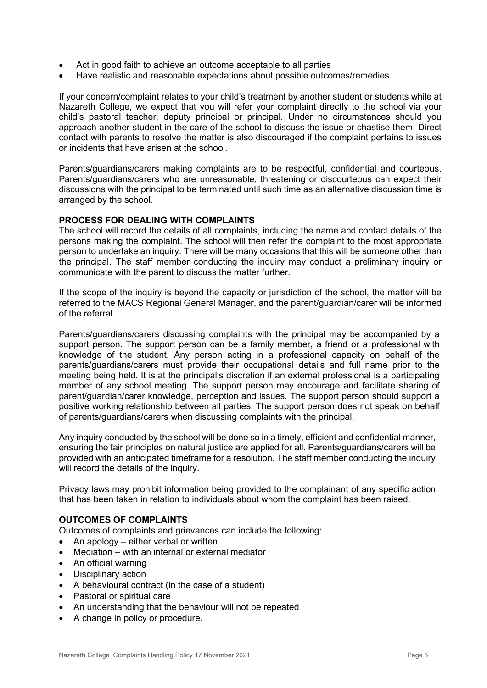- Act in good faith to achieve an outcome acceptable to all parties
- Have realistic and reasonable expectations about possible outcomes/remedies.

If your concern/complaint relates to your child's treatment by another student or students while at Nazareth College, we expect that you will refer your complaint directly to the school via your child's pastoral teacher, deputy principal or principal. Under no circumstances should you approach another student in the care of the school to discuss the issue or chastise them. Direct contact with parents to resolve the matter is also discouraged if the complaint pertains to issues or incidents that have arisen at the school.

Parents/guardians/carers making complaints are to be respectful, confidential and courteous. Parents/guardians/carers who are unreasonable, threatening or discourteous can expect their discussions with the principal to be terminated until such time as an alternative discussion time is arranged by the school.

#### **PROCESS FOR DEALING WITH COMPLAINTS**

The school will record the details of all complaints, including the name and contact details of the persons making the complaint. The school will then refer the complaint to the most appropriate person to undertake an inquiry. There will be many occasions that this will be someone other than the principal. The staff member conducting the inquiry may conduct a preliminary inquiry or communicate with the parent to discuss the matter further.

If the scope of the inquiry is beyond the capacity or jurisdiction of the school, the matter will be referred to the MACS Regional General Manager, and the parent/guardian/carer will be informed of the referral.

Parents/guardians/carers discussing complaints with the principal may be accompanied by a support person. The support person can be a family member, a friend or a professional with knowledge of the student. Any person acting in a professional capacity on behalf of the parents/guardians/carers must provide their occupational details and full name prior to the meeting being held. It is at the principal's discretion if an external professional is a participating member of any school meeting. The support person may encourage and facilitate sharing of parent/guardian/carer knowledge, perception and issues. The support person should support a positive working relationship between all parties. The support person does not speak on behalf of parents/guardians/carers when discussing complaints with the principal.

Any inquiry conducted by the school will be done so in a timely, efficient and confidential manner, ensuring the fair principles on natural justice are applied for all. Parents/guardians/carers will be provided with an anticipated timeframe for a resolution. The staff member conducting the inquiry will record the details of the inquiry.

Privacy laws may prohibit information being provided to the complainant of any specific action that has been taken in relation to individuals about whom the complaint has been raised.

#### **OUTCOMES OF COMPLAINTS**

Outcomes of complaints and grievances can include the following:

- An apology either verbal or written
- Mediation with an internal or external mediator
- An official warning
- Disciplinary action
- A behavioural contract (in the case of a student)
- Pastoral or spiritual care
- An understanding that the behaviour will not be repeated
- A change in policy or procedure.